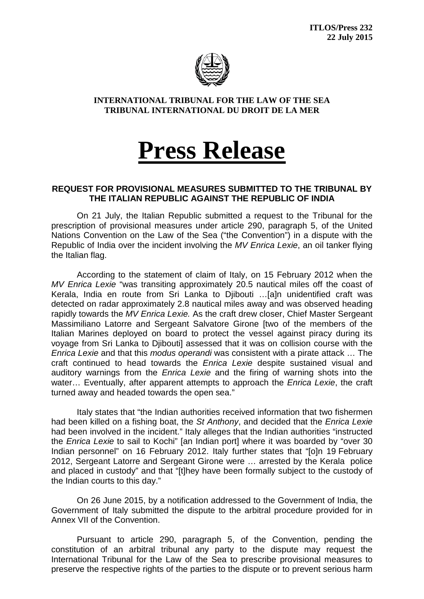

**INTERNATIONAL TRIBUNAL FOR THE LAW OF THE SEA TRIBUNAL INTERNATIONAL DU DROIT DE LA MER**

## **Press Release**

## **REQUEST FOR PROVISIONAL MEASURES SUBMITTED TO THE TRIBUNAL BY THE ITALIAN REPUBLIC AGAINST THE REPUBLIC OF INDIA**

On 21 July, the Italian Republic submitted a request to the Tribunal for the prescription of provisional measures under article 290, paragraph 5, of the United Nations Convention on the Law of the Sea ("the Convention") in a dispute with the Republic of India over the incident involving the *MV Enrica Lexie*, an oil tanker flying the Italian flag.

According to the statement of claim of Italy, on 15 February 2012 when the *MV Enrica Lexie* "was transiting approximately 20.5 nautical miles off the coast of Kerala, India en route from Sri Lanka to Djibouti …[a]n unidentified craft was detected on radar approximately 2.8 nautical miles away and was observed heading rapidly towards the *MV Enrica Lexie.* As the craft drew closer, Chief Master Sergeant Massimiliano Latorre and Sergeant Salvatore Girone [two of the members of the Italian Marines deployed on board to protect the vessel against piracy during its voyage from Sri Lanka to Djibouti] assessed that it was on collision course with the *Enrica Lexie* and that this *modus operandi* was consistent with a pirate attack … The craft continued to head towards the *Enrica Lexie* despite sustained visual and auditory warnings from the *Enrica Lexie* and the firing of warning shots into the water… Eventually, after apparent attempts to approach the *Enrica Lexie*, the craft turned away and headed towards the open sea."

Italy states that "the Indian authorities received information that two fishermen had been killed on a fishing boat, the *St Anthony*, and decided that the *Enrica Lexie* had been involved in the incident." Italy alleges that the Indian authorities "instructed the *Enrica Lexie* to sail to Kochi" [an Indian port] where it was boarded by "over 30 Indian personnel" on 16 February 2012. Italy further states that "[o]n 19 February 2012, Sergeant Latorre and Sergeant Girone were … arrested by the Kerala police and placed in custody" and that "[t]hey have been formally subject to the custody of the Indian courts to this day."

On 26 June 2015, by a notification addressed to the Government of India, the Government of Italy submitted the dispute to the arbitral procedure provided for in Annex VII of the Convention.

Pursuant to article 290, paragraph 5, of the Convention, pending the constitution of an arbitral tribunal any party to the dispute may request the International Tribunal for the Law of the Sea to prescribe provisional measures to preserve the respective rights of the parties to the dispute or to prevent serious harm